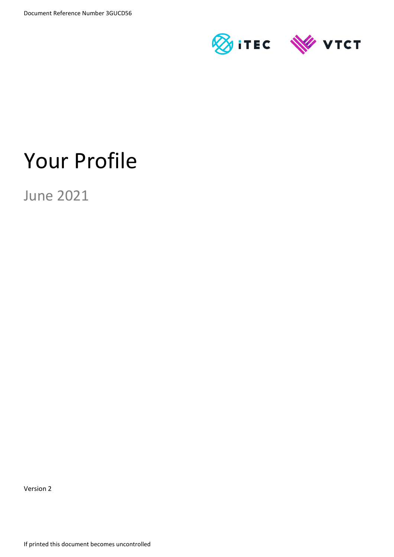

# Your Profile

June 2021

Version 2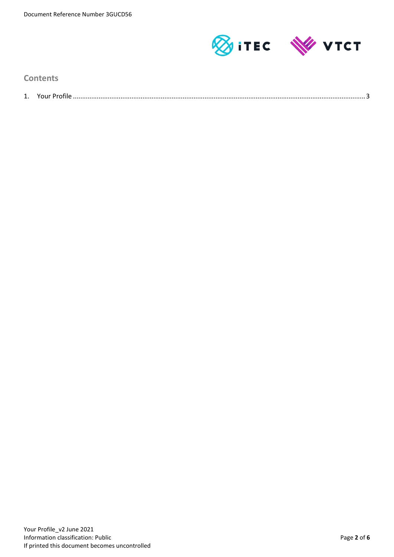

**Contents**

| ᆠ. |  |
|----|--|
|    |  |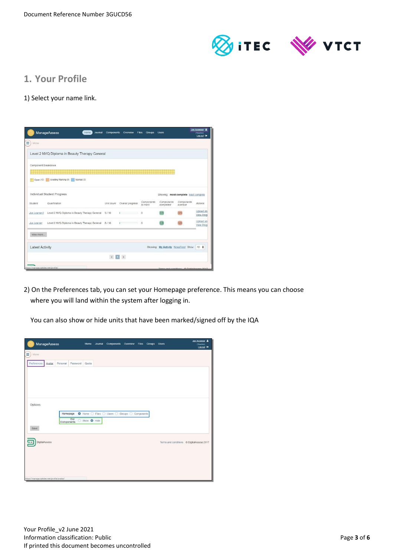

# **1. Your Profile**

### 1) Select your name link.

|                        | <b>ManageAssess</b><br>Home<br><b>Journal</b>        | Components | Overview                                 | <b>Files</b><br><b>Groups</b> | <b>Users</b>            |                                       | Jon Assessor<br>(Teacher)<br>Log out <sup>(+</sup> |
|------------------------|------------------------------------------------------|------------|------------------------------------------|-------------------------------|-------------------------|---------------------------------------|----------------------------------------------------|
| ≡<br>Menu              |                                                      |            |                                          |                               |                         |                                       |                                                    |
|                        | Level 2 NVQ Diploma in Beauty Therapy General        |            |                                          |                               |                         |                                       |                                                    |
| Component Breakdown    |                                                      |            |                                          |                               |                         |                                       |                                                    |
|                        | Open (17) Awaiting Marking (0) Marked (0)            |            |                                          |                               |                         |                                       |                                                    |
|                        | Individual Student Progress                          |            |                                          |                               |                         | Showing: most complete least complete |                                                    |
| Student                | Qualification                                        | Unit count | Overall progress                         | <b>Components</b><br>to mark  | Components<br>completed | Components<br>overdue                 | Actions                                            |
| Jon Learner2           | Level 2 NVQ Diploma in Beauty Therapy General        | 9/10       | х                                        | $\Omega$                      | 0/9                     | 0/9                                   | Upload an<br>View Prog                             |
| Jon Learner            | Level 2 NVQ Diploma in Beauty Therapy General 8 / 10 |            | <b>Contract Contract</b><br>$\mathbf{I}$ | $\circ$                       | 0/8                     | 0/8                                   | Upload an<br>View Prog                             |
| view more              |                                                      |            |                                          |                               |                         |                                       |                                                    |
| <b>Latest Activity</b> |                                                      |            |                                          |                               |                         | Showing: My Activity NewsFeed Show:   | $10$ $\div$                                        |
|                        |                                                      |            | $\leftarrow$ 1 >                         |                               |                         |                                       |                                                    |
|                        | https://manage.dahdev.get/orgfile/                   |            |                                          |                               |                         |                                       |                                                    |

2) On the Preferences tab, you can set your Homepage preference. This means you can choose where you will land within the system after logging in.

You can also show or hide units that have been marked/signed off by the IQA

| ManageAssess                                  | Home        | Journal Components Overview Files Groups Users |  |  | Jon Assessor &<br>(Teacher)<br>Log out <sup>(*</sup> |
|-----------------------------------------------|-------------|------------------------------------------------|--|--|------------------------------------------------------|
| Ξ<br>Menu                                     |             |                                                |  |  |                                                      |
| Preferences<br>Personal<br>Password<br>Avatar | Quota       |                                                |  |  |                                                      |
|                                               |             |                                                |  |  |                                                      |
|                                               |             |                                                |  |  |                                                      |
|                                               |             |                                                |  |  |                                                      |
|                                               |             |                                                |  |  |                                                      |
| Options                                       |             |                                                |  |  |                                                      |
| Homepage                                      |             | ● Home ○ Files ○ Users ○ Groups ○ Components   |  |  |                                                      |
| Old<br>Components                             | Show O Hide |                                                |  |  |                                                      |
| Save                                          |             |                                                |  |  |                                                      |
|                                               |             |                                                |  |  |                                                      |
| DigitalAssess                                 |             |                                                |  |  | Terms and conditions © DigitalAssess 2017            |
|                                               |             |                                                |  |  |                                                      |
|                                               |             |                                                |  |  |                                                      |
|                                               |             |                                                |  |  |                                                      |
| https://manage.dabdev.net/profile/avatar/     |             |                                                |  |  |                                                      |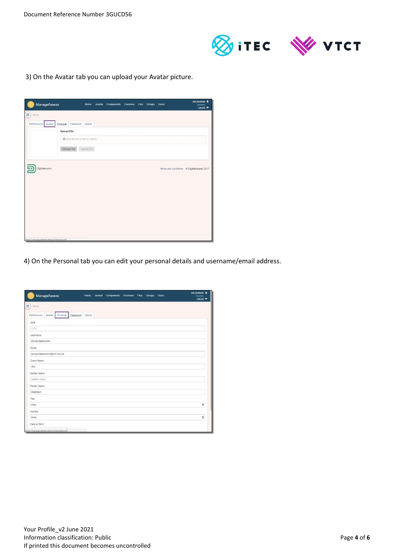

3) On the Avatar tab you can upload your Avatar picture.

| ManageAssess                                   | Home Journal Components Overview Files Groups Users |  |  | Jon Assessor &<br>(Teacher)<br>Log out <sup>®</sup> |
|------------------------------------------------|-----------------------------------------------------|--|--|-----------------------------------------------------|
| Ξ<br>Menu                                      |                                                     |  |  |                                                     |
| Preferences<br>Avatar<br>Personal<br>Password  | Quota                                               |  |  |                                                     |
| <b>Upload File</b>                             |                                                     |  |  |                                                     |
| <b>B</b> Drop file here or click to select it. |                                                     |  |  |                                                     |
| Choose File                                    | Upload File                                         |  |  |                                                     |
|                                                |                                                     |  |  |                                                     |
| DigitalAssess                                  |                                                     |  |  | Terms and conditions © DigitalAssess 2017           |
|                                                |                                                     |  |  |                                                     |
|                                                |                                                     |  |  |                                                     |
|                                                |                                                     |  |  |                                                     |
|                                                |                                                     |  |  |                                                     |
|                                                |                                                     |  |  |                                                     |
|                                                |                                                     |  |  |                                                     |
|                                                |                                                     |  |  |                                                     |
|                                                |                                                     |  |  |                                                     |
| https://manage.dabdev.net/profile/personal/    |                                                     |  |  |                                                     |

4) On the Personal tab you can edit your personal details and username/email address.

| ManageAssess                                  | Home  | Journal | Components | Overview | Files | Groups | <b>Users</b> | Jon Assessor &<br>(Toacher)<br>Log out <sup>(*)</sup> |
|-----------------------------------------------|-------|---------|------------|----------|-------|--------|--------------|-------------------------------------------------------|
| Ξ<br>Menu                                     |       |         |            |          |       |        |              |                                                       |
| Preferences<br>Personal<br>Password<br>Avatar | Quota |         |            |          |       |        |              |                                                       |
| <b>ULN</b>                                    |       |         |            |          |       |        |              |                                                       |
| ULN                                           |       |         |            |          |       |        |              |                                                       |
| Usemame                                       |       |         |            |          |       |        |              |                                                       |
| jsnvqvrqassessor                              |       |         |            |          |       |        |              |                                                       |
| Email                                         |       |         |            |          |       |        |              |                                                       |
| jsnvqvrqassessor@vtct.org.uk                  |       |         |            |          |       |        |              |                                                       |
| Given Name                                    |       |         |            |          |       |        |              |                                                       |
| Jon                                           |       |         |            |          |       |        |              |                                                       |
| Middle Name                                   |       |         |            |          |       |        |              |                                                       |
| Middle Name                                   |       |         |            |          |       |        |              |                                                       |
| Family Name                                   |       |         |            |          |       |        |              |                                                       |
| Assessor                                      |       |         |            |          |       |        |              |                                                       |
| Title                                         |       |         |            |          |       |        |              |                                                       |
| Miss                                          |       |         |            |          |       |        |              | ÷                                                     |
| Gender                                        |       |         |            |          |       |        |              |                                                       |
| Male                                          |       |         |            |          |       |        |              | ÷                                                     |
| Date of Birth                                 |       |         |            |          |       |        |              |                                                       |
| https://manage.dabdev.net/profile/password/   |       |         |            |          |       |        |              |                                                       |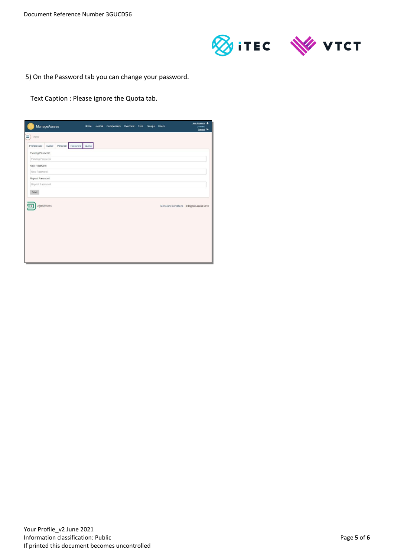

5) On the Password tab you can change your password.

Text Caption : Please ignore the Quota tab.

| ManageAssess                      | Home           | Journal Components Overview Files Groups Users |  |  | Jon Assessor<br>(Teacher)<br>Log out <sup>(*)</sup> |
|-----------------------------------|----------------|------------------------------------------------|--|--|-----------------------------------------------------|
| Ξ.<br>Menu                        |                |                                                |  |  |                                                     |
| Personal<br>Avatar<br>Preferences | Password Quota |                                                |  |  |                                                     |
| Existing Password                 |                |                                                |  |  |                                                     |
| Existing Password                 |                |                                                |  |  |                                                     |
| New Password                      |                |                                                |  |  |                                                     |
| New Password                      |                |                                                |  |  |                                                     |
| Repeat Password                   |                |                                                |  |  |                                                     |
| Repeat Password                   |                |                                                |  |  |                                                     |
| Save                              |                |                                                |  |  |                                                     |
| DigitalAssess                     |                |                                                |  |  | Terms and conditions © DigitalAssess 2017           |